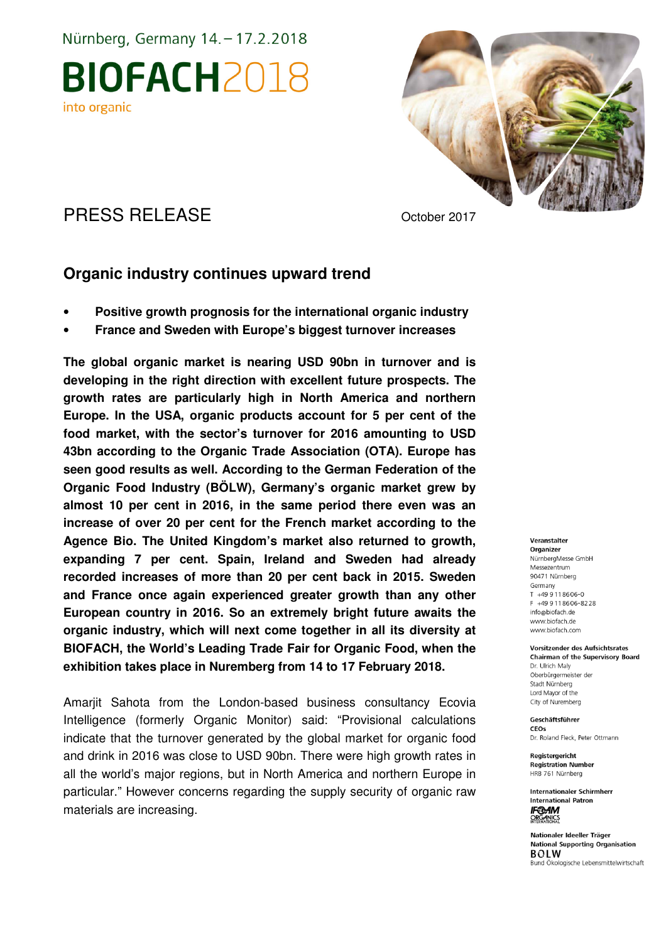Nürnberg, Germany 14. - 17.2.2018

**BIOFACH2018** into organic



### PRESS RELEASE October 2017

### **Organic industry continues upward trend**

- **Positive growth prognosis for the international organic industry**
- **France and Sweden with Europe's biggest turnover increases**

**The global organic market is nearing USD 90bn in turnover and is developing in the right direction with excellent future prospects. The growth rates are particularly high in North America and northern Europe. In the USA, organic products account for 5 per cent of the food market, with the sector's turnover for 2016 amounting to USD 43bn according to the Organic Trade Association (OTA). Europe has seen good results as well. According to the German Federation of the Organic Food Industry (BÖLW), Germany's organic market grew by almost 10 per cent in 2016, in the same period there even was an increase of over 20 per cent for the French market according to the Agence Bio. The United Kingdom's market also returned to growth, expanding 7 per cent. Spain, Ireland and Sweden had already recorded increases of more than 20 per cent back in 2015. Sweden and France once again experienced greater growth than any other European country in 2016. So an extremely bright future awaits the organic industry, which will next come together in all its diversity at BIOFACH, the World's Leading Trade Fair for Organic Food, when the exhibition takes place in Nuremberg from 14 to 17 February 2018.** 

Amarjit Sahota from the London-based business consultancy Ecovia Intelligence (formerly Organic Monitor) said: "Provisional calculations indicate that the turnover generated by the global market for organic food and drink in 2016 was close to USD 90bn. There were high growth rates in all the world's major regions, but in North America and northern Europe in particular." However concerns regarding the supply security of organic raw materials are increasing.

#### Veranstalter

Organizer NürnbergMesse GmbH Messezentrum 90471 Nürnberg Germany  $T + 499118606 - 0$ F +49 9 11 86 06 - 82 28 info@biofach.de www.biofach.de www.biofach.com

**Vorsitzender des Aufsichtsrates Chairman of the Supervisory Board** Dr. Ulrich Maly Oberbürgermeister de Stadt Nürnberg Lord Mavor of the City of Nuremberg

Geschäftsführer CEOs Dr. Roland Fleck, Peter Ottmann

Registergericht **Registration Number** HRB 761 Nürnberg

**Internationaler Schirmherr International Patron IF®AM ORGANICS** 

Nationaler Ideeller Träger **National Supporting Organisation BOLW** Bund Ökologische Lebensmittelwirtschaft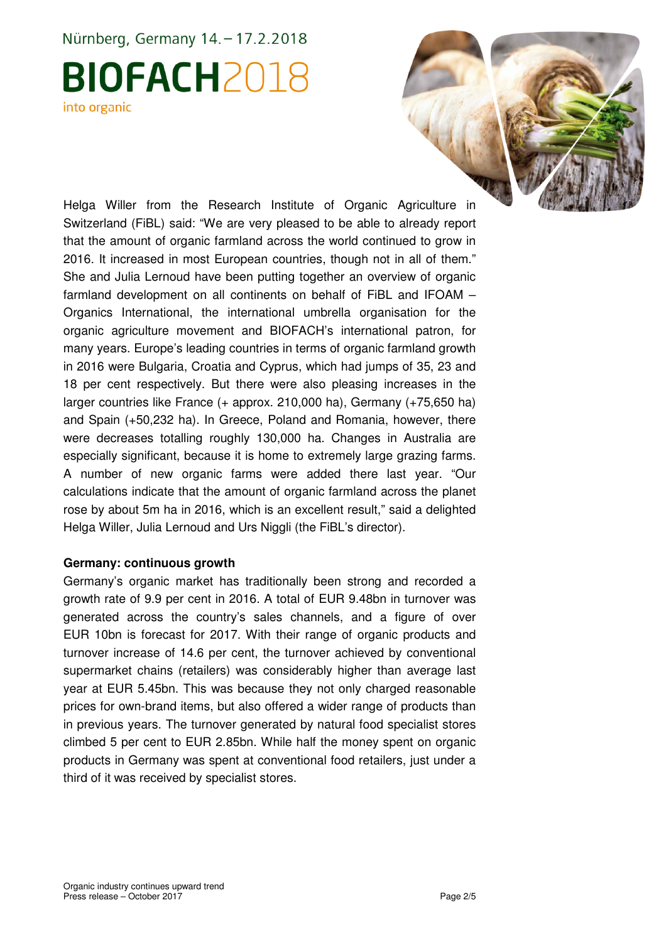## Nürnberg, Germany 14. - 17.2.2018 **BIOFACH2018** into organic



Helga Willer from the Research Institute of Organic Agriculture in Switzerland (FiBL) said: "We are very pleased to be able to already report that the amount of organic farmland across the world continued to grow in 2016. It increased in most European countries, though not in all of them." She and Julia Lernoud have been putting together an overview of organic farmland development on all continents on behalf of FiBL and IFOAM – Organics International, the international umbrella organisation for the organic agriculture movement and BIOFACH's international patron, for many years. Europe's leading countries in terms of organic farmland growth in 2016 were Bulgaria, Croatia and Cyprus, which had jumps of 35, 23 and 18 per cent respectively. But there were also pleasing increases in the larger countries like France (+ approx. 210,000 ha), Germany (+75,650 ha) and Spain (+50,232 ha). In Greece, Poland and Romania, however, there were decreases totalling roughly 130,000 ha. Changes in Australia are especially significant, because it is home to extremely large grazing farms. A number of new organic farms were added there last year. "Our calculations indicate that the amount of organic farmland across the planet rose by about 5m ha in 2016, which is an excellent result," said a delighted Helga Willer, Julia Lernoud and Urs Niggli (the FiBL's director).

#### **Germany: continuous growth**

Germany's organic market has traditionally been strong and recorded a growth rate of 9.9 per cent in 2016. A total of EUR 9.48bn in turnover was generated across the country's sales channels, and a figure of over EUR 10bn is forecast for 2017. With their range of organic products and turnover increase of 14.6 per cent, the turnover achieved by conventional supermarket chains (retailers) was considerably higher than average last year at EUR 5.45bn. This was because they not only charged reasonable prices for own-brand items, but also offered a wider range of products than in previous years. The turnover generated by natural food specialist stores climbed 5 per cent to EUR 2.85bn. While half the money spent on organic products in Germany was spent at conventional food retailers, just under a third of it was received by specialist stores.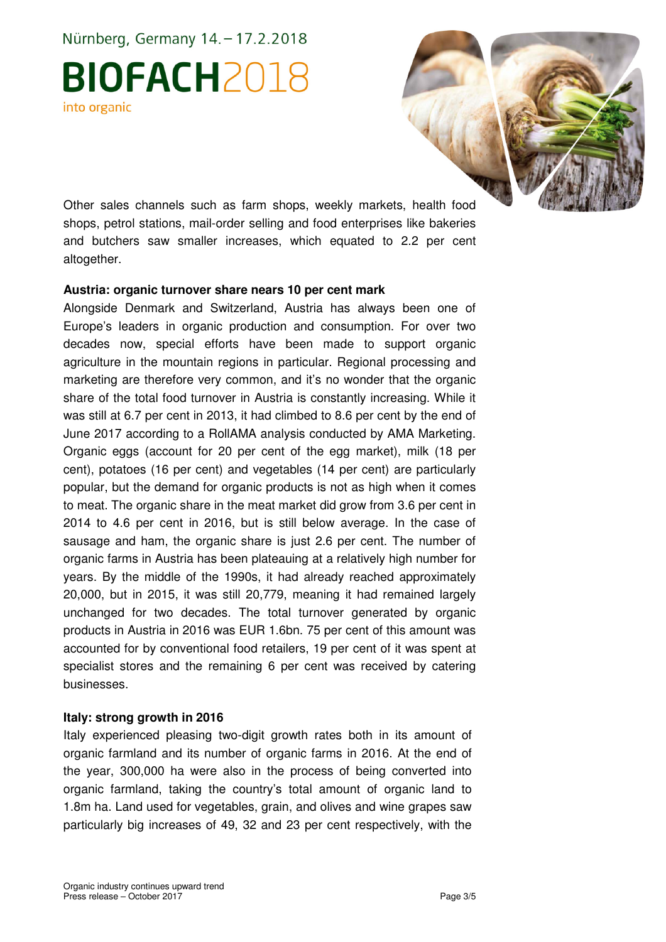Nürnberg, Germany 14. - 17.2.2018

# **BIOFACH2018** into organic



Other sales channels such as farm shops, weekly markets, health food shops, petrol stations, mail-order selling and food enterprises like bakeries and butchers saw smaller increases, which equated to 2.2 per cent altogether.

#### **Austria: organic turnover share nears 10 per cent mark**

Alongside Denmark and Switzerland, Austria has always been one of Europe's leaders in organic production and consumption. For over two decades now, special efforts have been made to support organic agriculture in the mountain regions in particular. Regional processing and marketing are therefore very common, and it's no wonder that the organic share of the total food turnover in Austria is constantly increasing. While it was still at 6.7 per cent in 2013, it had climbed to 8.6 per cent by the end of June 2017 according to a RollAMA analysis conducted by AMA Marketing. Organic eggs (account for 20 per cent of the egg market), milk (18 per cent), potatoes (16 per cent) and vegetables (14 per cent) are particularly popular, but the demand for organic products is not as high when it comes to meat. The organic share in the meat market did grow from 3.6 per cent in 2014 to 4.6 per cent in 2016, but is still below average. In the case of sausage and ham, the organic share is just 2.6 per cent. The number of organic farms in Austria has been plateauing at a relatively high number for years. By the middle of the 1990s, it had already reached approximately 20,000, but in 2015, it was still 20,779, meaning it had remained largely unchanged for two decades. The total turnover generated by organic products in Austria in 2016 was EUR 1.6bn. 75 per cent of this amount was accounted for by conventional food retailers, 19 per cent of it was spent at specialist stores and the remaining 6 per cent was received by catering businesses.

#### **Italy: strong growth in 2016**

Italy experienced pleasing two-digit growth rates both in its amount of organic farmland and its number of organic farms in 2016. At the end of the year, 300,000 ha were also in the process of being converted into organic farmland, taking the country's total amount of organic land to 1.8m ha. Land used for vegetables, grain, and olives and wine grapes saw particularly big increases of 49, 32 and 23 per cent respectively, with the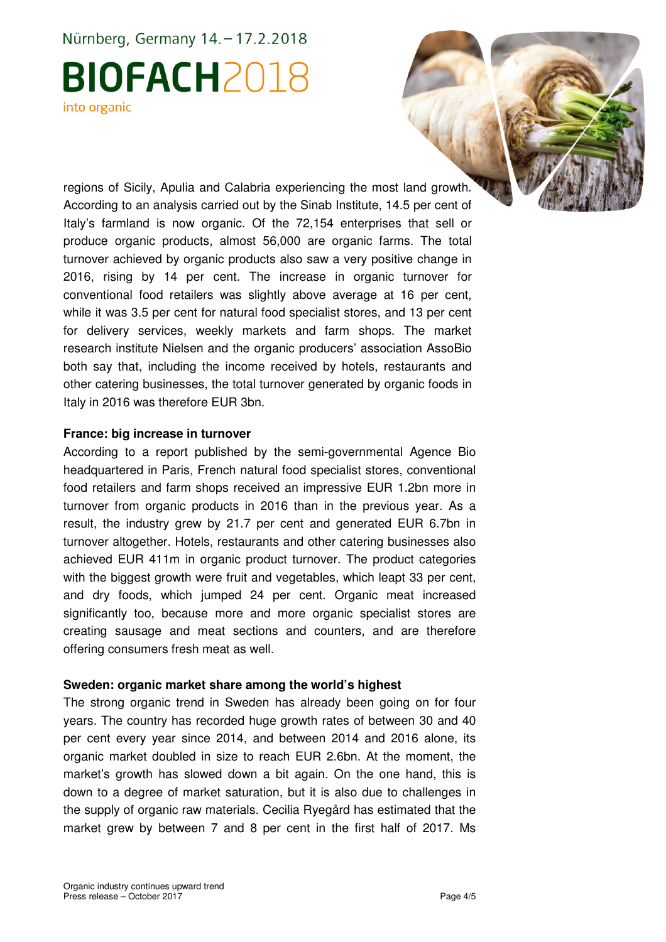## Nürnberg, Germany 14. - 17.2.2018 **BIOFACH2018** into organic

regions of Sicily, Apulia and Calabria experiencing the most land growth. According to an analysis carried out by the Sinab Institute, 14.5 per cent of Italy's farmland is now organic. Of the 72,154 enterprises that sell or produce organic products, almost 56,000 are organic farms. The total turnover achieved by organic products also saw a very positive change in 2016, rising by 14 per cent. The increase in organic turnover for conventional food retailers was slightly above average at 16 per cent, while it was 3.5 per cent for natural food specialist stores, and 13 per cent for delivery services, weekly markets and farm shops. The market research institute Nielsen and the organic producers' association AssoBio both say that, including the income received by hotels, restaurants and other catering businesses, the total turnover generated by organic foods in Italy in 2016 was therefore EUR 3bn.

#### **France: big increase in turnover**

According to a report published by the semi-governmental Agence Bio headquartered in Paris, French natural food specialist stores, conventional food retailers and farm shops received an impressive EUR 1.2bn more in turnover from organic products in 2016 than in the previous year. As a result, the industry grew by 21.7 per cent and generated EUR 6.7bn in turnover altogether. Hotels, restaurants and other catering businesses also achieved EUR 411m in organic product turnover. The product categories with the biggest growth were fruit and vegetables, which leapt 33 per cent, and dry foods, which jumped 24 per cent. Organic meat increased significantly too, because more and more organic specialist stores are creating sausage and meat sections and counters, and are therefore offering consumers fresh meat as well.

#### **Sweden: organic market share among the world's highest**

The strong organic trend in Sweden has already been going on for four years. The country has recorded huge growth rates of between 30 and 40 per cent every year since 2014, and between 2014 and 2016 alone, its organic market doubled in size to reach EUR 2.6bn. At the moment, the market's growth has slowed down a bit again. On the one hand, this is down to a degree of market saturation, but it is also due to challenges in the supply of organic raw materials. Cecilia Ryegård has estimated that the market grew by between 7 and 8 per cent in the first half of 2017. Ms